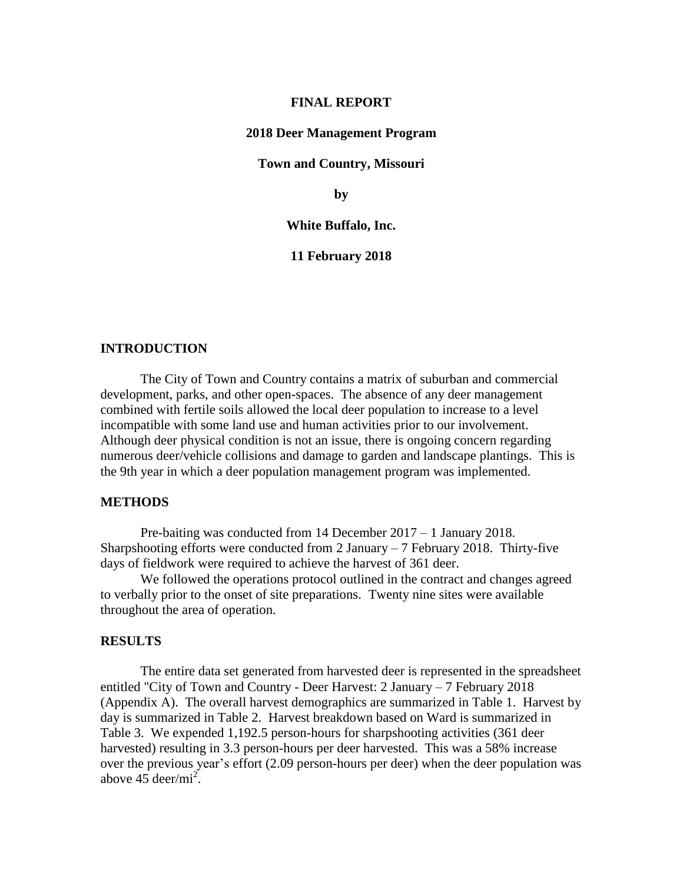#### **FINAL REPORT**

#### **2018 Deer Management Program**

**Town and Country, Missouri**

**by**

#### **White Buffalo, Inc.**

### **11 February 2018**

## **INTRODUCTION**

The City of Town and Country contains a matrix of suburban and commercial development, parks, and other open-spaces. The absence of any deer management combined with fertile soils allowed the local deer population to increase to a level incompatible with some land use and human activities prior to our involvement. Although deer physical condition is not an issue, there is ongoing concern regarding numerous deer/vehicle collisions and damage to garden and landscape plantings. This is the 9th year in which a deer population management program was implemented.

## **METHODS**

Pre-baiting was conducted from 14 December 2017 – 1 January 2018. Sharpshooting efforts were conducted from 2 January  $-7$  February 2018. Thirty-five days of fieldwork were required to achieve the harvest of 361 deer.

We followed the operations protocol outlined in the contract and changes agreed to verbally prior to the onset of site preparations. Twenty nine sites were available throughout the area of operation.

#### **RESULTS**

The entire data set generated from harvested deer is represented in the spreadsheet entitled "City of Town and Country - Deer Harvest: 2 January – 7 February 2018 (Appendix A). The overall harvest demographics are summarized in Table 1. Harvest by day is summarized in Table 2. Harvest breakdown based on Ward is summarized in Table 3. We expended 1,192.5 person-hours for sharpshooting activities (361 deer harvested) resulting in 3.3 person-hours per deer harvested. This was a 58% increase over the previous year's effort (2.09 person-hours per deer) when the deer population was above  $45 \text{ deer/min}^2$ .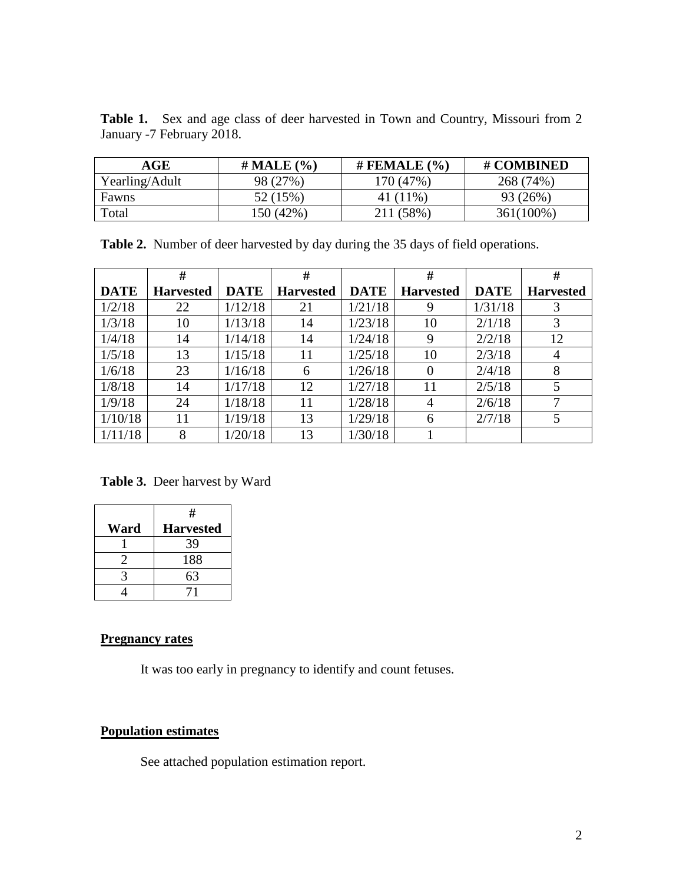| <b>Table 1.</b> Sex and age class of deer harvested in Town and Country, Missouri from 2 |  |  |  |  |  |  |  |
|------------------------------------------------------------------------------------------|--|--|--|--|--|--|--|
| January -7 February 2018.                                                                |  |  |  |  |  |  |  |

| AGE            | $\#$ MALE $(\% )$ | # FEMALE $(%$ | # COMBINED |
|----------------|-------------------|---------------|------------|
| Yearling/Adult | 98 (27%)          | 170 (47%)     | 268 (74%)  |
| Fawns          | 52 (15%)          | 41 (11%)      | 93 (26%)   |
| Total          | 150 (42%)         | 211 (58%)     | 361(100%)  |

**Table 2.** Number of deer harvested by day during the 35 days of field operations.

|             | #                |             | #                |             | #                |             | #                |
|-------------|------------------|-------------|------------------|-------------|------------------|-------------|------------------|
| <b>DATE</b> | <b>Harvested</b> | <b>DATE</b> | <b>Harvested</b> | <b>DATE</b> | <b>Harvested</b> | <b>DATE</b> | <b>Harvested</b> |
| 1/2/18      | 22               | 1/12/18     | 21               | 1/21/18     | 9                | 1/31/18     | 3                |
| 1/3/18      | 10               | 1/13/18     | 14               | 1/23/18     | 10               | 2/1/18      | 3                |
| 1/4/18      | 14               | 1/14/18     | 14               | 1/24/18     | 9                | 2/2/18      | 12               |
| 1/5/18      | 13               | 1/15/18     | 11               | 1/25/18     | 10               | 2/3/18      | $\overline{4}$   |
| 1/6/18      | 23               | 1/16/18     | 6                | 1/26/18     | $\theta$         | 2/4/18      | 8                |
| 1/8/18      | 14               | 1/17/18     | 12               | 1/27/18     | 11               | 2/5/18      | 5                |
| 1/9/18      | 24               | 1/18/18     | 11               | 1/28/18     | 4                | 2/6/18      | 7                |
| 1/10/18     | 11               | 1/19/18     | 13               | 1/29/18     | 6                | 2/7/18      | 5                |
| 1/11/18     | 8                | 1/20/18     | 13               | 1/30/18     |                  |             |                  |

**Table 3.** Deer harvest by Ward

|      | #                |
|------|------------------|
| Ward | <b>Harvested</b> |
|      | 39               |
|      | 188              |
|      | 63               |
|      |                  |

## **Pregnancy rates**

It was too early in pregnancy to identify and count fetuses.

# **Population estimates**

See attached population estimation report.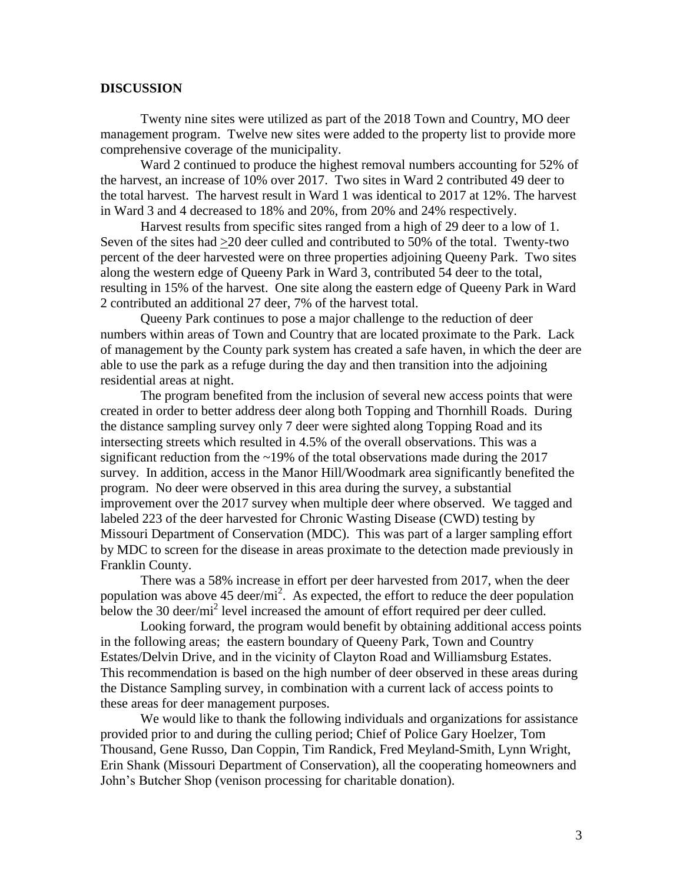## **DISCUSSION**

Twenty nine sites were utilized as part of the 2018 Town and Country, MO deer management program. Twelve new sites were added to the property list to provide more comprehensive coverage of the municipality.

Ward 2 continued to produce the highest removal numbers accounting for 52% of the harvest, an increase of 10% over 2017. Two sites in Ward 2 contributed 49 deer to the total harvest. The harvest result in Ward 1 was identical to 2017 at 12%. The harvest in Ward 3 and 4 decreased to 18% and 20%, from 20% and 24% respectively.

Harvest results from specific sites ranged from a high of 29 deer to a low of 1. Seven of the sites had >20 deer culled and contributed to 50% of the total. Twenty-two percent of the deer harvested were on three properties adjoining Queeny Park. Two sites along the western edge of Queeny Park in Ward 3, contributed 54 deer to the total, resulting in 15% of the harvest. One site along the eastern edge of Queeny Park in Ward 2 contributed an additional 27 deer, 7% of the harvest total.

Queeny Park continues to pose a major challenge to the reduction of deer numbers within areas of Town and Country that are located proximate to the Park. Lack of management by the County park system has created a safe haven, in which the deer are able to use the park as a refuge during the day and then transition into the adjoining residential areas at night.

The program benefited from the inclusion of several new access points that were created in order to better address deer along both Topping and Thornhill Roads. During the distance sampling survey only 7 deer were sighted along Topping Road and its intersecting streets which resulted in 4.5% of the overall observations. This was a significant reduction from the  $\sim$ 19% of the total observations made during the 2017 survey. In addition, access in the Manor Hill/Woodmark area significantly benefited the program. No deer were observed in this area during the survey, a substantial improvement over the 2017 survey when multiple deer where observed. We tagged and labeled 223 of the deer harvested for Chronic Wasting Disease (CWD) testing by Missouri Department of Conservation (MDC). This was part of a larger sampling effort by MDC to screen for the disease in areas proximate to the detection made previously in Franklin County.

There was a 58% increase in effort per deer harvested from 2017, when the deer population was above 45 deer/ $mi^2$ . As expected, the effort to reduce the deer population below the 30 deer/mi<sup>2</sup> level increased the amount of effort required per deer culled.

Looking forward, the program would benefit by obtaining additional access points in the following areas; the eastern boundary of Queeny Park, Town and Country Estates/Delvin Drive, and in the vicinity of Clayton Road and Williamsburg Estates. This recommendation is based on the high number of deer observed in these areas during the Distance Sampling survey, in combination with a current lack of access points to these areas for deer management purposes.

We would like to thank the following individuals and organizations for assistance provided prior to and during the culling period; Chief of Police Gary Hoelzer, Tom Thousand, Gene Russo, Dan Coppin, Tim Randick, Fred Meyland-Smith, Lynn Wright, Erin Shank (Missouri Department of Conservation), all the cooperating homeowners and John's Butcher Shop (venison processing for charitable donation).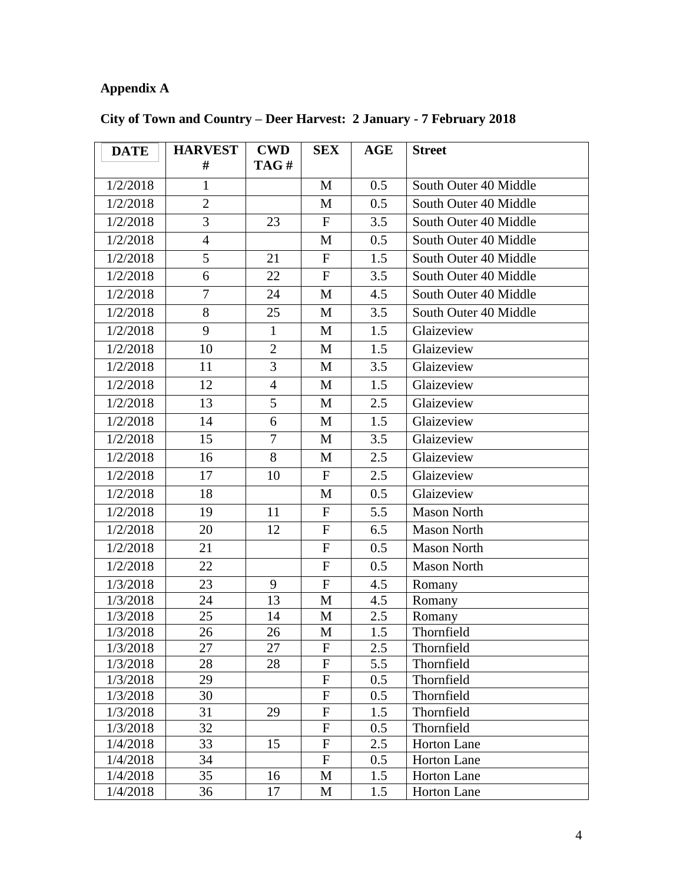# **Appendix A**

| <b>DATE</b> | <b>HARVEST</b> | <b>CWD</b>     | <b>SEX</b>                | AGE | <b>Street</b>         |
|-------------|----------------|----------------|---------------------------|-----|-----------------------|
|             | #              | TAG#           |                           |     |                       |
| 1/2/2018    | $\mathbf{1}$   |                | M                         | 0.5 | South Outer 40 Middle |
| 1/2/2018    | $\overline{2}$ |                | M                         | 0.5 | South Outer 40 Middle |
| 1/2/2018    | 3              | 23             | $\mathbf{F}$              | 3.5 | South Outer 40 Middle |
| 1/2/2018    | $\overline{4}$ |                | M                         | 0.5 | South Outer 40 Middle |
| 1/2/2018    | 5              | 21             | $\mathbf{F}$              | 1.5 | South Outer 40 Middle |
| 1/2/2018    | 6              | 22             | $\mathbf{F}$              | 3.5 | South Outer 40 Middle |
| 1/2/2018    | $\overline{7}$ | 24             | M                         | 4.5 | South Outer 40 Middle |
| 1/2/2018    | 8              | 25             | M                         | 3.5 | South Outer 40 Middle |
| 1/2/2018    | 9              | $\mathbf{1}$   | M                         | 1.5 | Glaizeview            |
| 1/2/2018    | 10             | $\overline{2}$ | M                         | 1.5 | Glaizeview            |
| 1/2/2018    | 11             | $\overline{3}$ | M                         | 3.5 | Glaizeview            |
| 1/2/2018    | 12             | $\overline{4}$ | M                         | 1.5 | Glaizeview            |
| 1/2/2018    | 13             | 5              | M                         | 2.5 | Glaizeview            |
| 1/2/2018    | 14             | 6              | M                         | 1.5 | Glaizeview            |
| 1/2/2018    | 15             | 7              | M                         | 3.5 | Glaizeview            |
| 1/2/2018    | 16             | 8              | M                         | 2.5 | Glaizeview            |
| 1/2/2018    | 17             | 10             | $\mathbf{F}$              | 2.5 | Glaizeview            |
| 1/2/2018    | 18             |                | M                         | 0.5 | Glaizeview            |
| 1/2/2018    | 19             | 11             | $\mathbf F$               | 5.5 | <b>Mason North</b>    |
| 1/2/2018    | 20             | 12             | $\mathbf{F}$              | 6.5 | <b>Mason North</b>    |
| 1/2/2018    | 21             |                | ${\bf F}$                 | 0.5 | <b>Mason North</b>    |
| 1/2/2018    | 22             |                | $\mathbf{F}$              | 0.5 | <b>Mason North</b>    |
| 1/3/2018    | 23             | 9              | $\mathbf{F}$              | 4.5 | Romany                |
| 1/3/2018    | 24             | 13             | $\mathbf{M}$              | 4.5 | Romany                |
| 1/3/2018    | 25             | 14             | M                         | 2.5 | Romany                |
| 1/3/2018    | 26             | 26             | M                         | 1.5 | Thornfield            |
| 1/3/2018    | 27             | 27             | $\mathbf{F}$              | 2.5 | Thornfield            |
| 1/3/2018    | 28             | 28             | ${\bf F}$                 | 5.5 | Thornfield            |
| 1/3/2018    | 29             |                | ${\bf F}$                 | 0.5 | Thornfield            |
| 1/3/2018    | 30             |                | $\boldsymbol{\mathrm{F}}$ | 0.5 | Thornfield            |
| 1/3/2018    | 31             | 29             | ${\bf F}$                 | 1.5 | Thornfield            |
| 1/3/2018    | 32             |                | ${\bf F}$                 | 0.5 | Thornfield            |
| 1/4/2018    | 33             | 15             | ${\bf F}$                 | 2.5 | <b>Horton Lane</b>    |
| 1/4/2018    | 34             |                | $\mathbf F$               | 0.5 | Horton Lane           |
| 1/4/2018    | 35             | 16             | M                         | 1.5 | <b>Horton Lane</b>    |
| 1/4/2018    | 36             | 17             | M                         | 1.5 | Horton Lane           |

# **City of Town and Country – Deer Harvest: 2 January - 7 February 2018**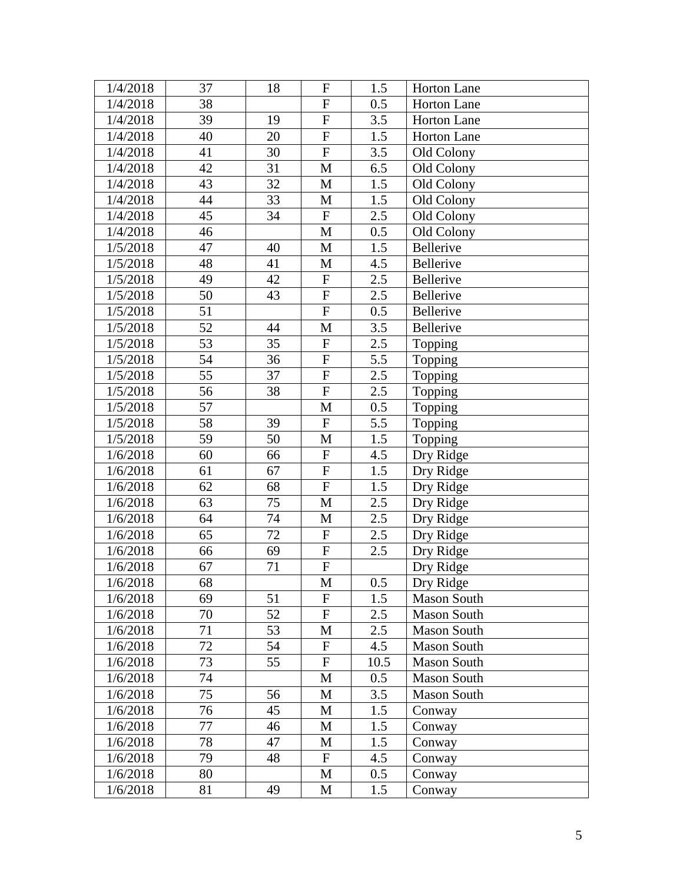| 1/4/2018 | 37 | 18 | $\boldsymbol{F}$          | 1.5  | Horton Lane        |
|----------|----|----|---------------------------|------|--------------------|
| 1/4/2018 | 38 |    | ${\bf F}$                 | 0.5  | Horton Lane        |
| 1/4/2018 | 39 | 19 | $\overline{F}$            | 3.5  | <b>Horton Lane</b> |
| 1/4/2018 | 40 | 20 | ${\bf F}$                 | 1.5  | Horton Lane        |
| 1/4/2018 | 41 | 30 | ${\bf F}$                 | 3.5  | Old Colony         |
| 1/4/2018 | 42 | 31 | M                         | 6.5  | Old Colony         |
| 1/4/2018 | 43 | 32 | $\mathbf{M}$              | 1.5  | Old Colony         |
| 1/4/2018 | 44 | 33 | M                         | 1.5  | Old Colony         |
| 1/4/2018 | 45 | 34 | $\boldsymbol{\mathrm{F}}$ | 2.5  | Old Colony         |
| 1/4/2018 | 46 |    | $\mathbf{M}$              | 0.5  | Old Colony         |
| 1/5/2018 | 47 | 40 | M                         | 1.5  | Bellerive          |
| 1/5/2018 | 48 | 41 | $\mathbf{M}$              | 4.5  | Bellerive          |
| 1/5/2018 | 49 | 42 | ${\bf F}$                 | 2.5  | Bellerive          |
| 1/5/2018 | 50 | 43 | ${\bf F}$                 | 2.5  | Bellerive          |
| 1/5/2018 | 51 |    | $\boldsymbol{\mathrm{F}}$ | 0.5  | Bellerive          |
| 1/5/2018 | 52 | 44 | $\mathbf{M}$              | 3.5  | Bellerive          |
| 1/5/2018 | 53 | 35 | ${\bf F}$                 | 2.5  | Topping            |
| 1/5/2018 | 54 | 36 | ${\bf F}$                 | 5.5  | Topping            |
| 1/5/2018 | 55 | 37 | ${\bf F}$                 | 2.5  | Topping            |
| 1/5/2018 | 56 | 38 | ${\bf F}$                 | 2.5  | Topping            |
| 1/5/2018 | 57 |    | M                         | 0.5  | Topping            |
| 1/5/2018 | 58 | 39 | $\mathbf F$               | 5.5  | Topping            |
| 1/5/2018 | 59 | 50 | M                         | 1.5  | Topping            |
| 1/6/2018 | 60 | 66 | $\boldsymbol{\mathrm{F}}$ | 4.5  | Dry Ridge          |
| 1/6/2018 | 61 | 67 | $\boldsymbol{\mathrm{F}}$ | 1.5  | Dry Ridge          |
| 1/6/2018 | 62 | 68 | $\overline{F}$            | 1.5  | Dry Ridge          |
| 1/6/2018 | 63 | 75 | M                         | 2.5  | Dry Ridge          |
| 1/6/2018 | 64 | 74 | $\mathbf{M}$              | 2.5  | Dry Ridge          |
| 1/6/2018 | 65 | 72 | $\boldsymbol{\mathrm{F}}$ | 2.5  | Dry Ridge          |
| 1/6/2018 | 66 | 69 | ${\bf F}$                 | 2.5  | Dry Ridge          |
| 1/6/2018 | 67 | 71 | ${\bf F}$                 |      | Dry Ridge          |
| 1/6/2018 | 68 |    | M                         | 0.5  | Dry Ridge          |
| 1/6/2018 | 69 | 51 | $\overline{F}$            | 1.5  | <b>Mason South</b> |
| 1/6/2018 | 70 | 52 | ${\bf F}$                 | 2.5  | <b>Mason South</b> |
| 1/6/2018 | 71 | 53 | M                         | 2.5  | <b>Mason South</b> |
| 1/6/2018 | 72 | 54 | ${\bf F}$                 | 4.5  | <b>Mason South</b> |
| 1/6/2018 | 73 | 55 | ${\bf F}$                 | 10.5 | <b>Mason South</b> |
| 1/6/2018 | 74 |    | $\mathbf{M}$              | 0.5  | <b>Mason South</b> |
| 1/6/2018 | 75 | 56 | M                         | 3.5  | <b>Mason South</b> |
| 1/6/2018 | 76 | 45 | M                         | 1.5  | Conway             |
| 1/6/2018 | 77 | 46 | $\mathbf{M}$              | 1.5  | Conway             |
| 1/6/2018 | 78 | 47 | M                         | 1.5  | Conway             |
| 1/6/2018 | 79 | 48 | $\mathbf F$               | 4.5  | Conway             |
| 1/6/2018 | 80 |    | M                         | 0.5  | Conway             |
| 1/6/2018 | 81 | 49 | M                         | 1.5  | Conway             |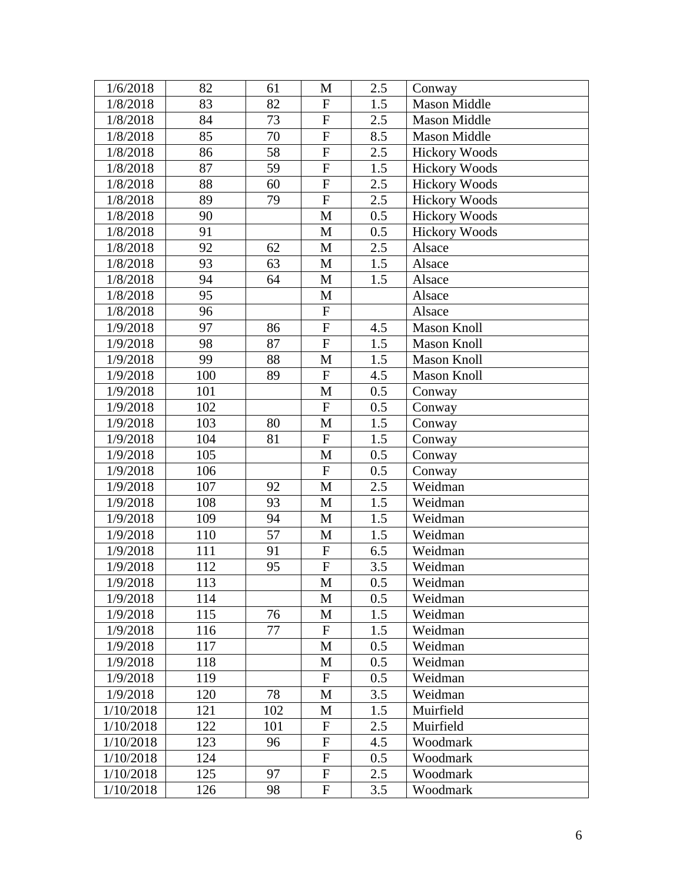| 1/6/2018  | 82  | 61  | M                         | 2.5 | Conway               |
|-----------|-----|-----|---------------------------|-----|----------------------|
| 1/8/2018  | 83  | 82  | $\mathbf{F}$              | 1.5 | Mason Middle         |
| 1/8/2018  | 84  | 73  | $\overline{F}$            | 2.5 | <b>Mason Middle</b>  |
| 1/8/2018  | 85  | 70  | ${\bf F}$                 | 8.5 | <b>Mason Middle</b>  |
| 1/8/2018  | 86  | 58  | ${\bf F}$                 | 2.5 | <b>Hickory Woods</b> |
| 1/8/2018  | 87  | 59  | ${\bf F}$                 | 1.5 | <b>Hickory Woods</b> |
| 1/8/2018  | 88  | 60  | ${\bf F}$                 | 2.5 | <b>Hickory Woods</b> |
| 1/8/2018  | 89  | 79  | $\overline{F}$            | 2.5 | <b>Hickory Woods</b> |
| 1/8/2018  | 90  |     | $\mathbf{M}$              | 0.5 | <b>Hickory Woods</b> |
| 1/8/2018  | 91  |     | $\mathbf{M}$              | 0.5 | <b>Hickory Woods</b> |
| 1/8/2018  | 92  | 62  | M                         | 2.5 | Alsace               |
| 1/8/2018  | 93  | 63  | $\mathbf{M}$              | 1.5 | Alsace               |
| 1/8/2018  | 94  | 64  | M                         | 1.5 | Alsace               |
| 1/8/2018  | 95  |     | M                         |     | Alsace               |
| 1/8/2018  | 96  |     | $\boldsymbol{\mathrm{F}}$ |     | Alsace               |
| 1/9/2018  | 97  | 86  | ${\bf F}$                 | 4.5 | <b>Mason Knoll</b>   |
| 1/9/2018  | 98  | 87  | ${\bf F}$                 | 1.5 | Mason Knoll          |
| 1/9/2018  | 99  | 88  | M                         | 1.5 | <b>Mason Knoll</b>   |
| 1/9/2018  | 100 | 89  | ${\bf F}$                 | 4.5 | <b>Mason Knoll</b>   |
| 1/9/2018  | 101 |     | $\mathbf{M}$              | 0.5 | Conway               |
| 1/9/2018  | 102 |     | ${\bf F}$                 | 0.5 | Conway               |
| 1/9/2018  | 103 | 80  | M                         | 1.5 | Conway               |
| 1/9/2018  | 104 | 81  | ${\bf F}$                 | 1.5 | Conway               |
| 1/9/2018  | 105 |     | $\mathbf{M}$              | 0.5 | Conway               |
| 1/9/2018  | 106 |     | $\boldsymbol{\mathrm{F}}$ | 0.5 | Conway               |
| 1/9/2018  | 107 | 92  | $\mathbf{M}$              | 2.5 | Weidman              |
| 1/9/2018  | 108 | 93  | M                         | 1.5 | Weidman              |
| 1/9/2018  | 109 | 94  | $\mathbf{M}$              | 1.5 | Weidman              |
| 1/9/2018  | 110 | 57  | M                         | 1.5 | Weidman              |
| 1/9/2018  | 111 | 91  | ${\bf F}$                 | 6.5 | Weidman              |
| 1/9/2018  | 112 | 95  | ${\bf F}$                 | 3.5 | Weidman              |
| 1/9/2018  | 113 |     | M                         | 0.5 | Weidman              |
| 1/9/2018  | 114 |     | $\mathbf{M}$              | 0.5 | Weidman              |
| 1/9/2018  | 115 | 76  | M                         | 1.5 | Weidman              |
| 1/9/2018  | 116 | 77  | $\mathbf F$               | 1.5 | Weidman              |
| 1/9/2018  | 117 |     | M                         | 0.5 | Weidman              |
| 1/9/2018  | 118 |     | M                         | 0.5 | Weidman              |
| 1/9/2018  | 119 |     | $\mathbf F$               | 0.5 | Weidman              |
| 1/9/2018  | 120 | 78  | M                         | 3.5 | Weidman              |
| 1/10/2018 | 121 | 102 | M                         | 1.5 | Muirfield            |
| 1/10/2018 | 122 | 101 | $\mathbf F$               | 2.5 | Muirfield            |
| 1/10/2018 | 123 | 96  | $\mathbf F$               | 4.5 | Woodmark             |
| 1/10/2018 | 124 |     | $\mathbf F$               | 0.5 | Woodmark             |
| 1/10/2018 | 125 | 97  | ${\bf F}$                 | 2.5 | Woodmark             |
| 1/10/2018 | 126 | 98  | F                         | 3.5 | Woodmark             |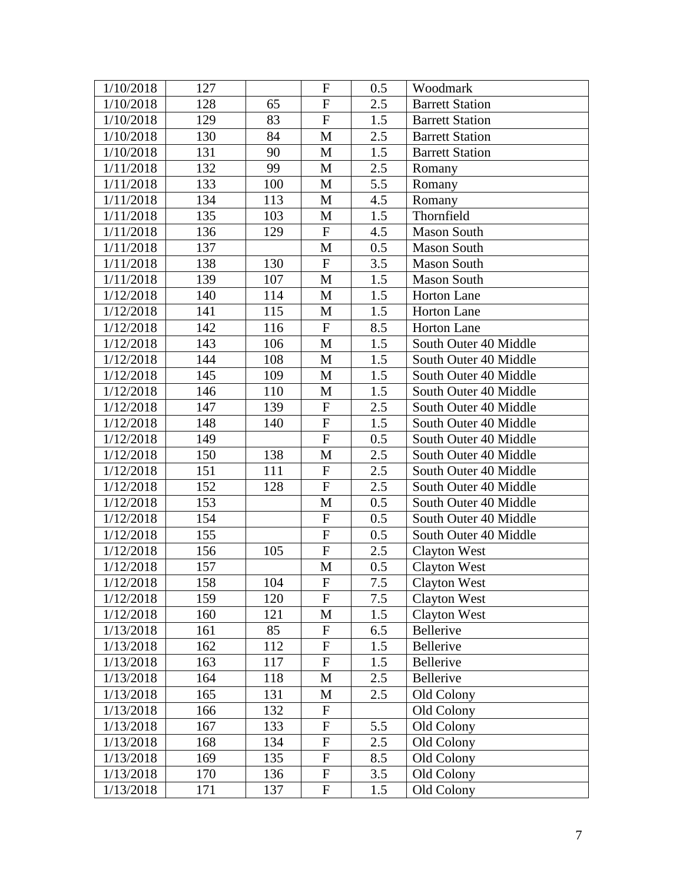| 1/10/2018 | 127 |     | $\mathbf F$               | 0.5 | Woodmark               |
|-----------|-----|-----|---------------------------|-----|------------------------|
| 1/10/2018 | 128 | 65  | ${\bf F}$                 | 2.5 | <b>Barrett Station</b> |
| 1/10/2018 | 129 | 83  | ${\bf F}$                 | 1.5 | <b>Barrett Station</b> |
| 1/10/2018 | 130 | 84  | M                         | 2.5 | <b>Barrett Station</b> |
| 1/10/2018 | 131 | 90  | M                         | 1.5 | <b>Barrett Station</b> |
| 1/11/2018 | 132 | 99  | M                         | 2.5 | Romany                 |
| 1/11/2018 | 133 | 100 | $\mathbf{M}$              | 5.5 | Romany                 |
| 1/11/2018 | 134 | 113 | M                         | 4.5 | Romany                 |
| 1/11/2018 | 135 | 103 | $\mathbf{M}$              | 1.5 | Thornfield             |
| 1/11/2018 | 136 | 129 | ${\bf F}$                 | 4.5 | <b>Mason South</b>     |
| 1/11/2018 | 137 |     | $\mathbf{M}$              | 0.5 | <b>Mason South</b>     |
| 1/11/2018 | 138 | 130 | $\boldsymbol{\mathrm{F}}$ | 3.5 | <b>Mason South</b>     |
| 1/11/2018 | 139 | 107 | M                         | 1.5 | <b>Mason South</b>     |
| 1/12/2018 | 140 | 114 | M                         | 1.5 | Horton Lane            |
| 1/12/2018 | 141 | 115 | $\mathbf{M}$              | 1.5 | <b>Horton Lane</b>     |
| 1/12/2018 | 142 | 116 | $\mathbf F$               | 8.5 | <b>Horton Lane</b>     |
| 1/12/2018 | 143 | 106 | M                         | 1.5 | South Outer 40 Middle  |
| 1/12/2018 | 144 | 108 | M                         | 1.5 | South Outer 40 Middle  |
| 1/12/2018 | 145 | 109 | M                         | 1.5 | South Outer 40 Middle  |
| 1/12/2018 | 146 | 110 | $\mathbf{M}$              | 1.5 | South Outer 40 Middle  |
| 1/12/2018 | 147 | 139 | ${\bf F}$                 | 2.5 | South Outer 40 Middle  |
| 1/12/2018 | 148 | 140 | ${\bf F}$                 | 1.5 | South Outer 40 Middle  |
| 1/12/2018 | 149 |     | ${\bf F}$                 | 0.5 | South Outer 40 Middle  |
| 1/12/2018 | 150 | 138 | $\mathbf M$               | 2.5 | South Outer 40 Middle  |
| 1/12/2018 | 151 | 111 | ${\bf F}$                 | 2.5 | South Outer 40 Middle  |
| 1/12/2018 | 152 | 128 | $\overline{F}$            | 2.5 | South Outer 40 Middle  |
| 1/12/2018 | 153 |     | M                         | 0.5 | South Outer 40 Middle  |
| 1/12/2018 | 154 |     | ${\bf F}$                 | 0.5 | South Outer 40 Middle  |
| 1/12/2018 | 155 |     | $\overline{F}$            | 0.5 | South Outer 40 Middle  |
| 1/12/2018 | 156 | 105 | ${\bf F}$                 | 2.5 | <b>Clayton West</b>    |
| 1/12/2018 | 157 |     | M                         | 0.5 | <b>Clayton West</b>    |
| 1/12/2018 | 158 | 104 | F                         | 7.5 | <b>Clayton West</b>    |
| 1/12/2018 | 159 | 120 | $\overline{F}$            | 7.5 | <b>Clayton West</b>    |
| 1/12/2018 | 160 | 121 | M                         | 1.5 | <b>Clayton West</b>    |
| 1/13/2018 | 161 | 85  | ${\bf F}$                 | 6.5 | Bellerive              |
| 1/13/2018 | 162 | 112 | ${\bf F}$                 | 1.5 | Bellerive              |
| 1/13/2018 | 163 | 117 | $\mathbf{F}$              | 1.5 | Bellerive              |
| 1/13/2018 | 164 | 118 | M                         | 2.5 | Bellerive              |
| 1/13/2018 | 165 | 131 | $\mathbf M$               | 2.5 | Old Colony             |
| 1/13/2018 | 166 | 132 | $\boldsymbol{\mathrm{F}}$ |     | Old Colony             |
| 1/13/2018 | 167 | 133 | $\overline{F}$            | 5.5 | Old Colony             |
| 1/13/2018 | 168 | 134 | ${\bf F}$                 | 2.5 | Old Colony             |
| 1/13/2018 | 169 | 135 | ${\bf F}$                 | 8.5 | Old Colony             |
| 1/13/2018 | 170 | 136 | ${\bf F}$                 | 3.5 | Old Colony             |
| 1/13/2018 | 171 | 137 | F                         | 1.5 | Old Colony             |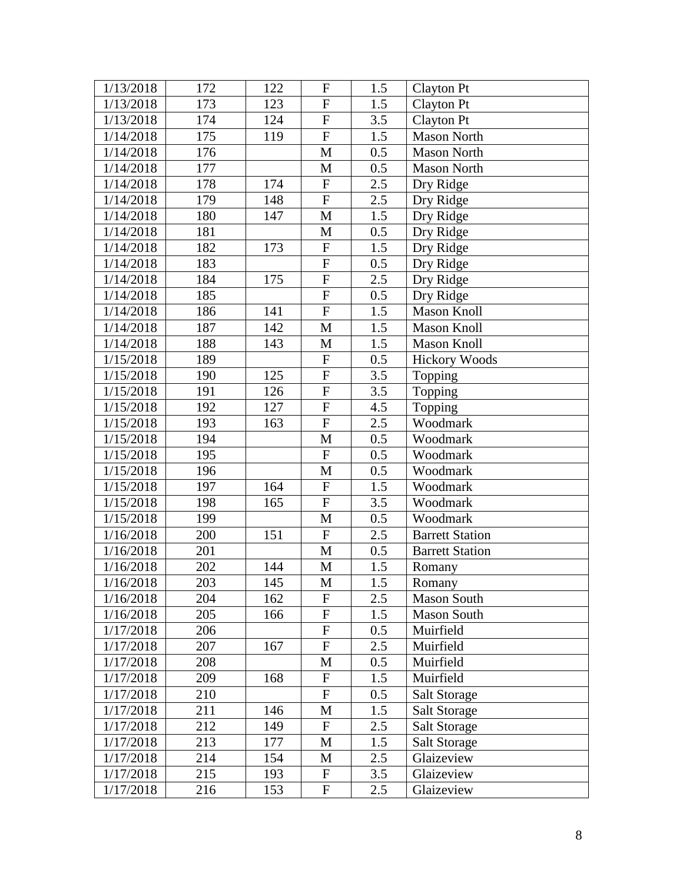| 1/13/2018 | 172 | 122 | $\boldsymbol{F}$          | 1.5 | Clayton Pt             |
|-----------|-----|-----|---------------------------|-----|------------------------|
| 1/13/2018 | 173 | 123 | $\mathbf{F}$              | 1.5 | Clayton Pt             |
| 1/13/2018 | 174 | 124 | $\overline{F}$            | 3.5 | <b>Clayton Pt</b>      |
| 1/14/2018 | 175 | 119 | ${\bf F}$                 | 1.5 | <b>Mason North</b>     |
| 1/14/2018 | 176 |     | M                         | 0.5 | <b>Mason North</b>     |
| 1/14/2018 | 177 |     | M                         | 0.5 | <b>Mason North</b>     |
| 1/14/2018 | 178 | 174 | ${\bf F}$                 | 2.5 | Dry Ridge              |
| 1/14/2018 | 179 | 148 | $\overline{F}$            | 2.5 | Dry Ridge              |
| 1/14/2018 | 180 | 147 | $\mathbf M$               | 1.5 | Dry Ridge              |
| 1/14/2018 | 181 |     | M                         | 0.5 | Dry Ridge              |
| 1/14/2018 | 182 | 173 | ${\bf F}$                 | 1.5 | Dry Ridge              |
| 1/14/2018 | 183 |     | $\overline{F}$            | 0.5 | Dry Ridge              |
| 1/14/2018 | 184 | 175 | $\boldsymbol{\mathrm{F}}$ | 2.5 | Dry Ridge              |
| 1/14/2018 | 185 |     | ${\bf F}$                 | 0.5 | Dry Ridge              |
| 1/14/2018 | 186 | 141 | $\overline{F}$            | 1.5 | <b>Mason Knoll</b>     |
| 1/14/2018 | 187 | 142 | M                         | 1.5 | <b>Mason Knoll</b>     |
| 1/14/2018 | 188 | 143 | M                         | 1.5 | <b>Mason Knoll</b>     |
| 1/15/2018 | 189 |     | ${\rm F}$                 | 0.5 | <b>Hickory Woods</b>   |
| 1/15/2018 | 190 | 125 | ${\bf F}$                 | 3.5 | Topping                |
| 1/15/2018 | 191 | 126 | ${\bf F}$                 | 3.5 | Topping                |
| 1/15/2018 | 192 | 127 | ${\bf F}$                 | 4.5 | Topping                |
| 1/15/2018 | 193 | 163 | ${\bf F}$                 | 2.5 | Woodmark               |
| 1/15/2018 | 194 |     | M                         | 0.5 | Woodmark               |
| 1/15/2018 | 195 |     | $\overline{F}$            | 0.5 | Woodmark               |
| 1/15/2018 | 196 |     | $\mathbf M$               | 0.5 | Woodmark               |
| 1/15/2018 | 197 | 164 | $\boldsymbol{\mathrm{F}}$ | 1.5 | Woodmark               |
| 1/15/2018 | 198 | 165 | ${\bf F}$                 | 3.5 | Woodmark               |
| 1/15/2018 | 199 |     | M                         | 0.5 | Woodmark               |
| 1/16/2018 | 200 | 151 | $\overline{F}$            | 2.5 | <b>Barrett Station</b> |
| 1/16/2018 | 201 |     | M                         | 0.5 | <b>Barrett Station</b> |
| 1/16/2018 | 202 | 144 | M                         | 1.5 | Romany                 |
| 1/16/2018 | 203 | 145 | M                         | 1.5 | Romany                 |
| 1/16/2018 | 204 | 162 | $\overline{F}$            | 2.5 | <b>Mason South</b>     |
| 1/16/2018 | 205 | 166 | ${\bf F}$                 | 1.5 | <b>Mason South</b>     |
| 1/17/2018 | 206 |     | ${\bf F}$                 | 0.5 | Muirfield              |
| 1/17/2018 | 207 | 167 | ${\bf F}$                 | 2.5 | Muirfield              |
| 1/17/2018 | 208 |     | M                         | 0.5 | Muirfield              |
| 1/17/2018 | 209 | 168 | $\overline{F}$            | 1.5 | Muirfield              |
| 1/17/2018 | 210 |     | $\overline{F}$            | 0.5 | Salt Storage           |
| 1/17/2018 | 211 | 146 | M                         | 1.5 | <b>Salt Storage</b>    |
| 1/17/2018 | 212 | 149 | $\mathbf{F}$              | 2.5 | <b>Salt Storage</b>    |
| 1/17/2018 | 213 | 177 | M                         | 1.5 | <b>Salt Storage</b>    |
| 1/17/2018 | 214 | 154 | M                         | 2.5 | Glaizeview             |
| 1/17/2018 | 215 | 193 | $\mathbf F$               | 3.5 | Glaizeview             |
|           |     |     |                           |     |                        |
| 1/17/2018 | 216 | 153 | ${\bf F}$                 | 2.5 | Glaizeview             |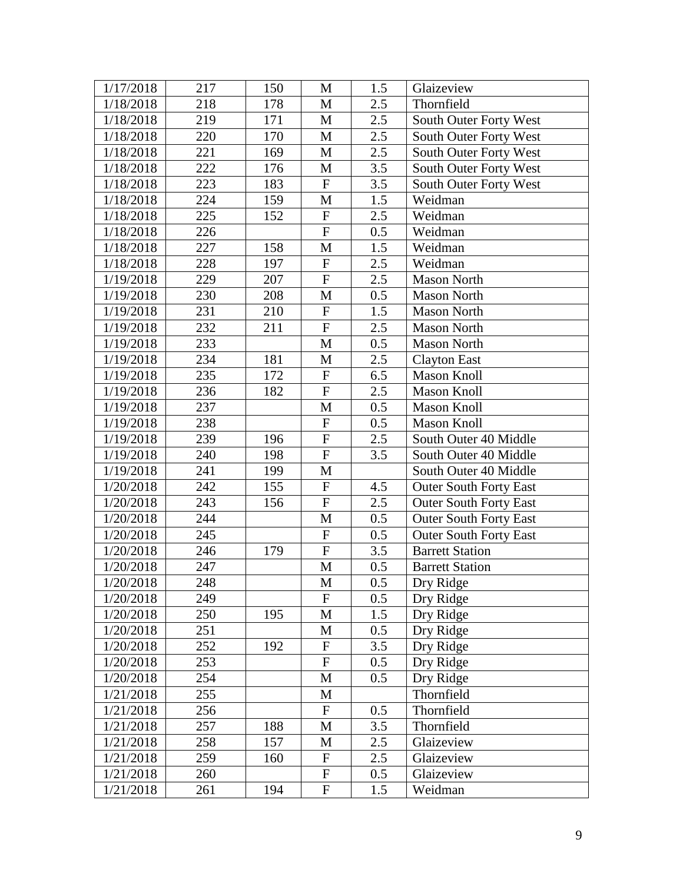| 1/17/2018 | 217 | 150 | M                         | 1.5 | Glaizeview                    |
|-----------|-----|-----|---------------------------|-----|-------------------------------|
| 1/18/2018 | 218 | 178 | $\mathbf{M}$              | 2.5 | Thornfield                    |
| 1/18/2018 | 219 | 171 | M                         | 2.5 | South Outer Forty West        |
| 1/18/2018 | 220 | 170 | $\mathbf{M}$              | 2.5 | South Outer Forty West        |
| 1/18/2018 | 221 | 169 | $\mathbf{M}$              | 2.5 | South Outer Forty West        |
| 1/18/2018 | 222 | 176 | M                         | 3.5 | South Outer Forty West        |
| 1/18/2018 | 223 | 183 | $\boldsymbol{\mathrm{F}}$ | 3.5 | South Outer Forty West        |
| 1/18/2018 | 224 | 159 | M                         | 1.5 | Weidman                       |
| 1/18/2018 | 225 | 152 | ${\bf F}$                 | 2.5 | Weidman                       |
| 1/18/2018 | 226 |     | ${\bf F}$                 | 0.5 | Weidman                       |
| 1/18/2018 | 227 | 158 | M                         | 1.5 | Weidman                       |
| 1/18/2018 | 228 | 197 | $\mathbf F$               | 2.5 | Weidman                       |
| 1/19/2018 | 229 | 207 | ${\bf F}$                 | 2.5 | <b>Mason North</b>            |
| 1/19/2018 | 230 | 208 | M                         | 0.5 | <b>Mason North</b>            |
| 1/19/2018 | 231 | 210 | $\overline{F}$            | 1.5 | <b>Mason North</b>            |
| 1/19/2018 | 232 | 211 | $\overline{F}$            | 2.5 | <b>Mason North</b>            |
| 1/19/2018 | 233 |     | M                         | 0.5 | <b>Mason North</b>            |
| 1/19/2018 | 234 | 181 | $\mathbf M$               | 2.5 | <b>Clayton East</b>           |
| 1/19/2018 | 235 | 172 | ${\bf F}$                 | 6.5 | <b>Mason Knoll</b>            |
| 1/19/2018 | 236 | 182 | $\boldsymbol{\mathrm{F}}$ | 2.5 | <b>Mason Knoll</b>            |
| 1/19/2018 | 237 |     | $\mathbf M$               | 0.5 | <b>Mason Knoll</b>            |
| 1/19/2018 | 238 |     | $\mathbf F$               | 0.5 | <b>Mason Knoll</b>            |
| 1/19/2018 | 239 | 196 | $\boldsymbol{\mathrm{F}}$ | 2.5 | South Outer 40 Middle         |
| 1/19/2018 | 240 | 198 | $\boldsymbol{\mathrm{F}}$ | 3.5 | South Outer 40 Middle         |
| 1/19/2018 | 241 | 199 | M                         |     | South Outer 40 Middle         |
| 1/20/2018 | 242 | 155 | ${\bf F}$                 | 4.5 | <b>Outer South Forty East</b> |
| 1/20/2018 | 243 | 156 | ${\bf F}$                 | 2.5 | <b>Outer South Forty East</b> |
| 1/20/2018 | 244 |     | M                         | 0.5 | <b>Outer South Forty East</b> |
| 1/20/2018 | 245 |     | ${\bf F}$                 | 0.5 | <b>Outer South Forty East</b> |
| 1/20/2018 | 246 | 179 | $\boldsymbol{\mathrm{F}}$ | 3.5 | <b>Barrett Station</b>        |
| 1/20/2018 | 247 |     | $\mathbf M$               | 0.5 | <b>Barrett Station</b>        |
| 1/20/2018 | 248 |     | M                         | 0.5 | Dry Ridge                     |
| 1/20/2018 | 249 |     | $\mathbf{F}$              | 0.5 | Dry Ridge                     |
| 1/20/2018 | 250 | 195 | $\mathbf M$               | 1.5 | Dry Ridge                     |
| 1/20/2018 | 251 |     | M                         | 0.5 | Dry Ridge                     |
| 1/20/2018 | 252 | 192 | ${\bf F}$                 | 3.5 | Dry Ridge                     |
| 1/20/2018 | 253 |     | ${\bf F}$                 | 0.5 | Dry Ridge                     |
| 1/20/2018 | 254 |     | M                         | 0.5 | Dry Ridge                     |
| 1/21/2018 | 255 |     | M                         |     | Thornfield                    |
| 1/21/2018 | 256 |     | $\mathbf F$               | 0.5 | Thornfield                    |
| 1/21/2018 | 257 | 188 | M                         | 3.5 | Thornfield                    |
| 1/21/2018 | 258 | 157 | M                         | 2.5 | Glaizeview                    |
| 1/21/2018 | 259 | 160 | ${\bf F}$                 | 2.5 | Glaizeview                    |
| 1/21/2018 | 260 |     | ${\bf F}$                 | 0.5 | Glaizeview                    |
| 1/21/2018 | 261 | 194 | ${\bf F}$                 | 1.5 | Weidman                       |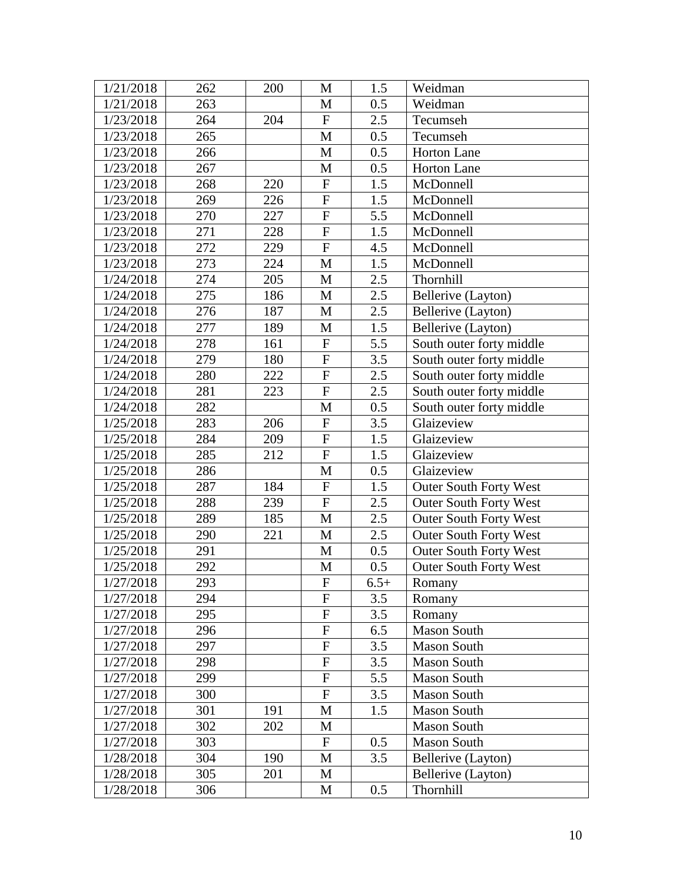| 1/21/2018 | 262 | 200 | M                | 1.5    | Weidman                       |
|-----------|-----|-----|------------------|--------|-------------------------------|
| 1/21/2018 | 263 |     | $\mathbf{M}$     | 0.5    | Weidman                       |
| 1/23/2018 | 264 | 204 | $\overline{F}$   | 2.5    | Tecumseh                      |
| 1/23/2018 | 265 |     | $\mathbf M$      | 0.5    | Tecumseh                      |
| 1/23/2018 | 266 |     | $\mathbf{M}$     | 0.5    | <b>Horton Lane</b>            |
| 1/23/2018 | 267 |     | $\mathbf{M}$     | 0.5    | Horton Lane                   |
| 1/23/2018 | 268 | 220 | ${\bf F}$        | 1.5    | McDonnell                     |
| 1/23/2018 | 269 | 226 | ${\bf F}$        | 1.5    | McDonnell                     |
| 1/23/2018 | 270 | 227 | ${\bf F}$        | 5.5    | McDonnell                     |
| 1/23/2018 | 271 | 228 | $\overline{F}$   | 1.5    | McDonnell                     |
| 1/23/2018 | 272 | 229 | $\mathbf{F}$     | 4.5    | McDonnell                     |
| 1/23/2018 | 273 | 224 | M                | 1.5    | McDonnell                     |
| 1/24/2018 | 274 | 205 | M                | 2.5    | Thornhill                     |
| 1/24/2018 | 275 | 186 | M                | 2.5    | Bellerive (Layton)            |
| 1/24/2018 | 276 | 187 | $\mathbf{M}$     | 2.5    | Bellerive (Layton)            |
| 1/24/2018 | 277 | 189 | M                | 1.5    | Bellerive (Layton)            |
| 1/24/2018 | 278 | 161 | ${\bf F}$        | 5.5    | South outer forty middle      |
| 1/24/2018 | 279 | 180 | ${\bf F}$        | 3.5    | South outer forty middle      |
| 1/24/2018 | 280 | 222 | $\overline{F}$   | 2.5    | South outer forty middle      |
| 1/24/2018 | 281 | 223 | $\overline{F}$   | 2.5    | South outer forty middle      |
| 1/24/2018 | 282 |     | $\mathbf M$      | 0.5    | South outer forty middle      |
| 1/25/2018 | 283 | 206 | ${\bf F}$        | 3.5    | Glaizeview                    |
| 1/25/2018 | 284 | 209 | $\overline{F}$   | 1.5    | Glaizeview                    |
| 1/25/2018 | 285 | 212 | $\overline{F}$   | 1.5    | Glaizeview                    |
| 1/25/2018 | 286 |     | M                | 0.5    | Glaizeview                    |
| 1/25/2018 | 287 | 184 | ${\bf F}$        | 1.5    | <b>Outer South Forty West</b> |
| 1/25/2018 | 288 | 239 | ${\bf F}$        | 2.5    | <b>Outer South Forty West</b> |
| 1/25/2018 | 289 | 185 | $\mathbf{M}$     | 2.5    | <b>Outer South Forty West</b> |
| 1/25/2018 | 290 | 221 | M                | 2.5    | <b>Outer South Forty West</b> |
| 1/25/2018 | 291 |     | $\mathbf M$      | 0.5    | <b>Outer South Forty West</b> |
| 1/25/2018 | 292 |     | M                | 0.5    | <b>Outer South Forty West</b> |
| 1/27/2018 | 293 |     | $\boldsymbol{F}$ | $6.5+$ | Romany                        |
| 1/27/2018 | 294 |     | $\mathbf{F}$     | 3.5    | Romany                        |
| 1/27/2018 | 295 |     | ${\bf F}$        | 3.5    | Romany                        |
| 1/27/2018 | 296 |     | ${\bf F}$        | 6.5    | <b>Mason South</b>            |
| 1/27/2018 | 297 |     | $\overline{F}$   | 3.5    | <b>Mason South</b>            |
| 1/27/2018 | 298 |     | ${\bf F}$        | 3.5    | <b>Mason South</b>            |
| 1/27/2018 | 299 |     | ${\bf F}$        | 5.5    | <b>Mason South</b>            |
| 1/27/2018 | 300 |     | ${\bf F}$        | 3.5    | <b>Mason South</b>            |
| 1/27/2018 | 301 | 191 | M                | 1.5    | <b>Mason South</b>            |
| 1/27/2018 | 302 | 202 | $\mathbf{M}$     |        | <b>Mason South</b>            |
| 1/27/2018 | 303 |     | F                | 0.5    | <b>Mason South</b>            |
| 1/28/2018 | 304 | 190 | M                | 3.5    | Bellerive (Layton)            |
| 1/28/2018 | 305 | 201 | M                |        | Bellerive (Layton)            |
| 1/28/2018 | 306 |     | М                | 0.5    | Thornhill                     |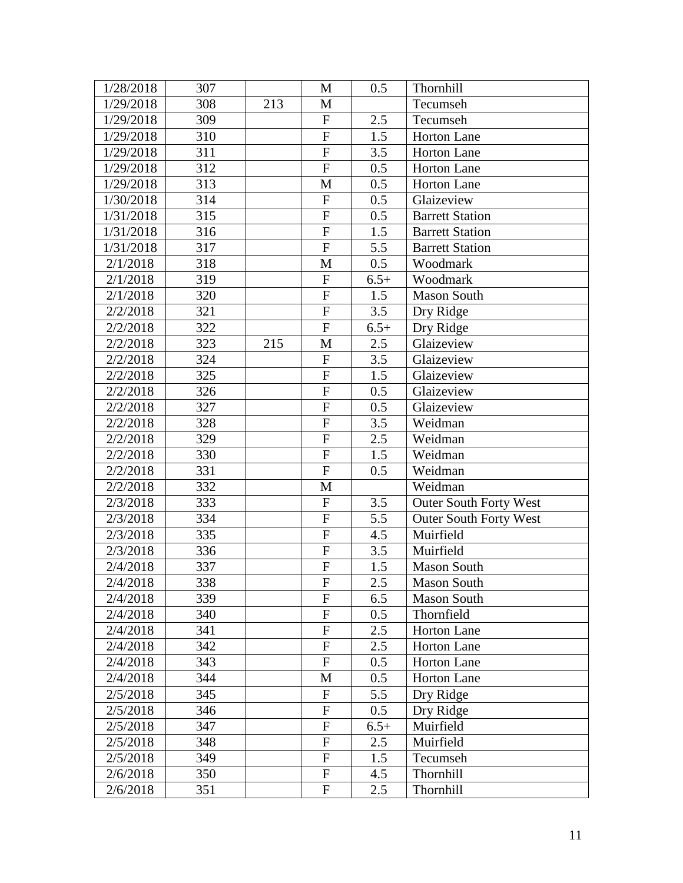| 1/28/2018 | 307 |     | M                         | 0.5    | Thornhill                     |
|-----------|-----|-----|---------------------------|--------|-------------------------------|
| 1/29/2018 | 308 | 213 | M                         |        | Tecumseh                      |
| 1/29/2018 | 309 |     | $\mathbf F$               | 2.5    | Tecumseh                      |
| 1/29/2018 | 310 |     | $\boldsymbol{\mathrm{F}}$ | 1.5    | <b>Horton Lane</b>            |
| 1/29/2018 | 311 |     | $\overline{F}$            | 3.5    | <b>Horton Lane</b>            |
| 1/29/2018 | 312 |     | $\overline{F}$            | 0.5    | <b>Horton Lane</b>            |
| 1/29/2018 | 313 |     | M                         | 0.5    | Horton Lane                   |
| 1/30/2018 | 314 |     | $\mathbf F$               | 0.5    | Glaizeview                    |
| 1/31/2018 | 315 |     | $\mathbf F$               | 0.5    | <b>Barrett Station</b>        |
| 1/31/2018 | 316 |     | $\overline{F}$            | 1.5    | <b>Barrett Station</b>        |
| 1/31/2018 | 317 |     | ${\bf F}$                 | 5.5    | <b>Barrett Station</b>        |
| 2/1/2018  | 318 |     | M                         | 0.5    | Woodmark                      |
| 2/1/2018  | 319 |     | $\mathbf F$               | $6.5+$ | Woodmark                      |
| 2/1/2018  | 320 |     | $\mathbf F$               | 1.5    | <b>Mason South</b>            |
| 2/2/2018  | 321 |     | $\overline{F}$            | 3.5    | Dry Ridge                     |
| 2/2/2018  | 322 |     | $\overline{F}$            | $6.5+$ | Dry Ridge                     |
| 2/2/2018  | 323 | 215 | M                         | 2.5    | Glaizeview                    |
| 2/2/2018  | 324 |     | $\mathbf{F}$              | 3.5    | Glaizeview                    |
| 2/2/2018  | 325 |     | ${\bf F}$                 | 1.5    | Glaizeview                    |
| 2/2/2018  | 326 |     | ${\bf F}$                 | 0.5    | Glaizeview                    |
| 2/2/2018  | 327 |     | $\overline{F}$            | 0.5    | Glaizeview                    |
| 2/2/2018  | 328 |     | ${\bf F}$                 | 3.5    | Weidman                       |
| 2/2/2018  | 329 |     | $\overline{F}$            | 2.5    | Weidman                       |
| 2/2/2018  | 330 |     | ${\bf F}$                 | 1.5    | Weidman                       |
| 2/2/2018  | 331 |     | $\mathbf F$               | 0.5    | Weidman                       |
| 2/2/2018  | 332 |     | M                         |        | Weidman                       |
| 2/3/2018  | 333 |     | $\mathbf F$               | 3.5    | <b>Outer South Forty West</b> |
| 2/3/2018  | 334 |     | $\mathbf{F}$              | 5.5    | <b>Outer South Forty West</b> |
| 2/3/2018  | 335 |     | $\mathbf F$               | 4.5    | Muirfield                     |
| 2/3/2018  | 336 |     | $\mathbf{F}$              | 3.5    | Muirfield                     |
| 2/4/2018  | 337 |     | ${\bf F}$                 | 1.5    | <b>Mason South</b>            |
| 2/4/2018  | 338 |     | F                         | 2.5    | Mason South                   |
| 2/4/2018  | 339 |     | $\mathbf{F}$              | 6.5    | <b>Mason South</b>            |
| 2/4/2018  | 340 |     | ${\bf F}$                 | 0.5    | Thornfield                    |
| 2/4/2018  | 341 |     | $\mathbf F$               | 2.5    | Horton Lane                   |
| 2/4/2018  | 342 |     | $\mathbf{F}$              | 2.5    | Horton Lane                   |
| 2/4/2018  | 343 |     | $\mathbf F$               | 0.5    | <b>Horton Lane</b>            |
| 2/4/2018  | 344 |     | M                         | 0.5    | <b>Horton Lane</b>            |
| 2/5/2018  | 345 |     | $\mathbf F$               | 5.5    | Dry Ridge                     |
| 2/5/2018  | 346 |     | $\mathbf F$               | 0.5    | Dry Ridge                     |
| 2/5/2018  | 347 |     | ${\bf F}$                 | $6.5+$ | Muirfield                     |
| 2/5/2018  | 348 |     | $\mathbf F$               | 2.5    | Muirfield                     |
| 2/5/2018  | 349 |     | $\mathbf{F}$              | 1.5    | Tecumseh                      |
| 2/6/2018  | 350 |     | $\mathbf{F}$              | 4.5    | Thornhill                     |
| 2/6/2018  | 351 |     | $\mathbf F$               | 2.5    | Thornhill                     |